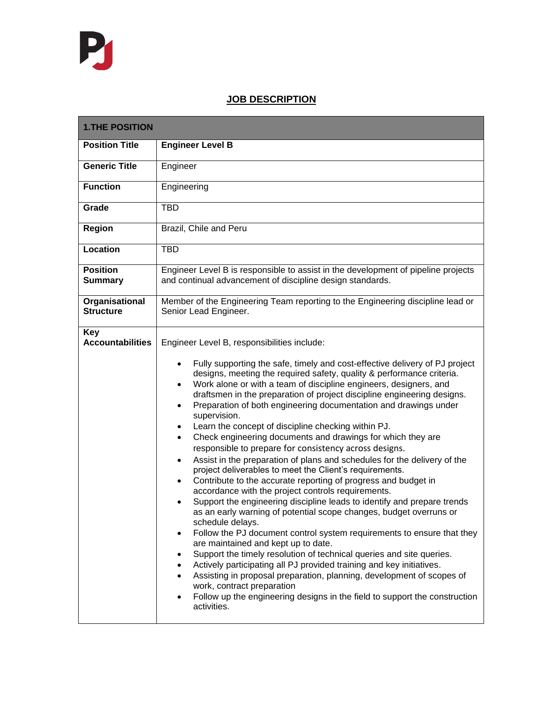## **JOB DESCRIPTION**

| <b>1.THE POSITION</b>              |                                                                                                                                                                                                                                                                                                                                                                                                                                                                                                                                                                                                                                                                                                                                                                                                                                                                                                                                                                                                                                                                                                                                                                                                                                                                                                                                                                                                                                                                                                                                                                                                                          |  |
|------------------------------------|--------------------------------------------------------------------------------------------------------------------------------------------------------------------------------------------------------------------------------------------------------------------------------------------------------------------------------------------------------------------------------------------------------------------------------------------------------------------------------------------------------------------------------------------------------------------------------------------------------------------------------------------------------------------------------------------------------------------------------------------------------------------------------------------------------------------------------------------------------------------------------------------------------------------------------------------------------------------------------------------------------------------------------------------------------------------------------------------------------------------------------------------------------------------------------------------------------------------------------------------------------------------------------------------------------------------------------------------------------------------------------------------------------------------------------------------------------------------------------------------------------------------------------------------------------------------------------------------------------------------------|--|
| <b>Position Title</b>              | <b>Engineer Level B</b>                                                                                                                                                                                                                                                                                                                                                                                                                                                                                                                                                                                                                                                                                                                                                                                                                                                                                                                                                                                                                                                                                                                                                                                                                                                                                                                                                                                                                                                                                                                                                                                                  |  |
| <b>Generic Title</b>               | Engineer                                                                                                                                                                                                                                                                                                                                                                                                                                                                                                                                                                                                                                                                                                                                                                                                                                                                                                                                                                                                                                                                                                                                                                                                                                                                                                                                                                                                                                                                                                                                                                                                                 |  |
| <b>Function</b>                    | Engineering                                                                                                                                                                                                                                                                                                                                                                                                                                                                                                                                                                                                                                                                                                                                                                                                                                                                                                                                                                                                                                                                                                                                                                                                                                                                                                                                                                                                                                                                                                                                                                                                              |  |
| Grade                              | <b>TBD</b>                                                                                                                                                                                                                                                                                                                                                                                                                                                                                                                                                                                                                                                                                                                                                                                                                                                                                                                                                                                                                                                                                                                                                                                                                                                                                                                                                                                                                                                                                                                                                                                                               |  |
| Region                             | Brazil, Chile and Peru                                                                                                                                                                                                                                                                                                                                                                                                                                                                                                                                                                                                                                                                                                                                                                                                                                                                                                                                                                                                                                                                                                                                                                                                                                                                                                                                                                                                                                                                                                                                                                                                   |  |
| Location                           | TBD                                                                                                                                                                                                                                                                                                                                                                                                                                                                                                                                                                                                                                                                                                                                                                                                                                                                                                                                                                                                                                                                                                                                                                                                                                                                                                                                                                                                                                                                                                                                                                                                                      |  |
| <b>Position</b><br><b>Summary</b>  | Engineer Level B is responsible to assist in the development of pipeline projects<br>and continual advancement of discipline design standards.                                                                                                                                                                                                                                                                                                                                                                                                                                                                                                                                                                                                                                                                                                                                                                                                                                                                                                                                                                                                                                                                                                                                                                                                                                                                                                                                                                                                                                                                           |  |
| Organisational<br><b>Structure</b> | Member of the Engineering Team reporting to the Engineering discipline lead or<br>Senior Lead Engineer.                                                                                                                                                                                                                                                                                                                                                                                                                                                                                                                                                                                                                                                                                                                                                                                                                                                                                                                                                                                                                                                                                                                                                                                                                                                                                                                                                                                                                                                                                                                  |  |
| Key<br><b>Accountabilities</b>     | Engineer Level B, responsibilities include:<br>Fully supporting the safe, timely and cost-effective delivery of PJ project<br>$\bullet$<br>designs, meeting the required safety, quality & performance criteria.<br>Work alone or with a team of discipline engineers, designers, and<br>$\bullet$<br>draftsmen in the preparation of project discipline engineering designs.<br>Preparation of both engineering documentation and drawings under<br>$\bullet$<br>supervision.<br>Learn the concept of discipline checking within PJ.<br>٠<br>Check engineering documents and drawings for which they are<br>$\bullet$<br>responsible to prepare for consistency across designs.<br>Assist in the preparation of plans and schedules for the delivery of the<br>$\bullet$<br>project deliverables to meet the Client's requirements.<br>Contribute to the accurate reporting of progress and budget in<br>$\bullet$<br>accordance with the project controls requirements.<br>Support the engineering discipline leads to identify and prepare trends<br>٠<br>as an early warning of potential scope changes, budget overruns or<br>schedule delays.<br>Follow the PJ document control system requirements to ensure that they<br>are maintained and kept up to date.<br>Support the timely resolution of technical queries and site queries.<br>Actively participating all PJ provided training and key initiatives.<br>Assisting in proposal preparation, planning, development of scopes of<br>work, contract preparation<br>Follow up the engineering designs in the field to support the construction<br>activities. |  |